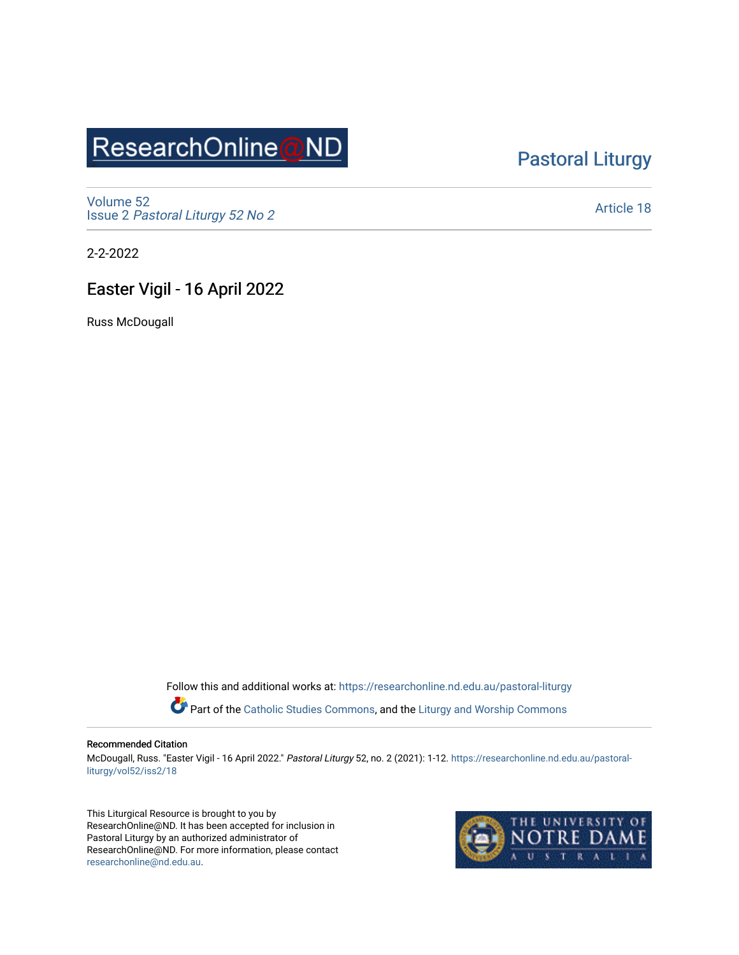# ResearchOnline@ND

## [Pastoral Liturgy](https://researchonline.nd.edu.au/pastoral-liturgy)

[Volume 52](https://researchonline.nd.edu.au/pastoral-liturgy/vol52) Issue 2 [Pastoral Liturgy 52 No 2](https://researchonline.nd.edu.au/pastoral-liturgy/vol52/iss2)

[Article 18](https://researchonline.nd.edu.au/pastoral-liturgy/vol52/iss2/18) 

2-2-2022

### Easter Vigil - 16 April 2022

Russ McDougall

Follow this and additional works at: [https://researchonline.nd.edu.au/pastoral-liturgy](https://researchonline.nd.edu.au/pastoral-liturgy?utm_source=researchonline.nd.edu.au%2Fpastoral-liturgy%2Fvol52%2Fiss2%2F18&utm_medium=PDF&utm_campaign=PDFCoverPages)

Part of the [Catholic Studies Commons,](http://network.bepress.com/hgg/discipline/1294?utm_source=researchonline.nd.edu.au%2Fpastoral-liturgy%2Fvol52%2Fiss2%2F18&utm_medium=PDF&utm_campaign=PDFCoverPages) and the Liturgy and Worship Commons

#### Recommended Citation

McDougall, Russ. "Easter Vigil - 16 April 2022." Pastoral Liturgy 52, no. 2 (2021): 1-12. [https://researchonline.nd.edu.au/pastoral](https://researchonline.nd.edu.au/pastoral-liturgy/vol52/iss2/18?utm_source=researchonline.nd.edu.au%2Fpastoral-liturgy%2Fvol52%2Fiss2%2F18&utm_medium=PDF&utm_campaign=PDFCoverPages)[liturgy/vol52/iss2/18](https://researchonline.nd.edu.au/pastoral-liturgy/vol52/iss2/18?utm_source=researchonline.nd.edu.au%2Fpastoral-liturgy%2Fvol52%2Fiss2%2F18&utm_medium=PDF&utm_campaign=PDFCoverPages) 

This Liturgical Resource is brought to you by ResearchOnline@ND. It has been accepted for inclusion in Pastoral Liturgy by an authorized administrator of ResearchOnline@ND. For more information, please contact [researchonline@nd.edu.au.](mailto:researchonline@nd.edu.au)

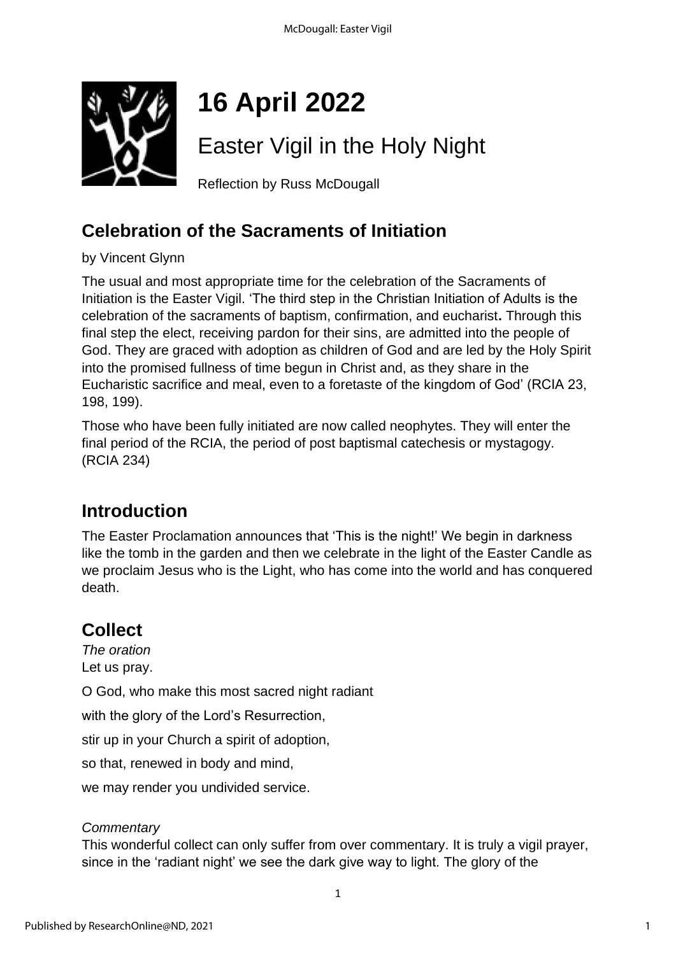

# **16 April 2022**

# Easter Vigil in the Holy Night

Reflection by Russ McDougall

# **Celebration of the Sacraments of Initiation**

by Vincent Glynn

The usual and most appropriate time for the celebration of the Sacraments of Initiation is the Easter Vigil. 'The third step in the Christian Initiation of Adults is the celebration of the sacraments of baptism, confirmation, and eucharist**.** Through this final step the elect, receiving pardon for their sins, are admitted into the people of God. They are graced with adoption as children of God and are led by the Holy Spirit into the promised fullness of time begun in Christ and, as they share in the Eucharistic sacrifice and meal, even to a foretaste of the kingdom of God' (RCIA 23, 198, 199).

Those who have been fully initiated are now called neophytes. They will enter the final period of the RCIA, the period of post baptismal catechesis or mystagogy. (RCIA 234)

# **Introduction**

The Easter Proclamation announces that 'This is the night!' We begin in darkness like the tomb in the garden and then we celebrate in the light of the Easter Candle as we proclaim Jesus who is the Light, who has come into the world and has conquered death.

# **Collect**

*The oration* Let us pray.

O God, who make this most sacred night radiant

with the glory of the Lord's Resurrection,

stir up in your Church a spirit of adoption,

so that, renewed in body and mind,

we may render you undivided service.

### *Commentary*

This wonderful collect can only suffer from over commentary. It is truly a vigil prayer, since in the 'radiant night' we see the dark give way to light. The glory of the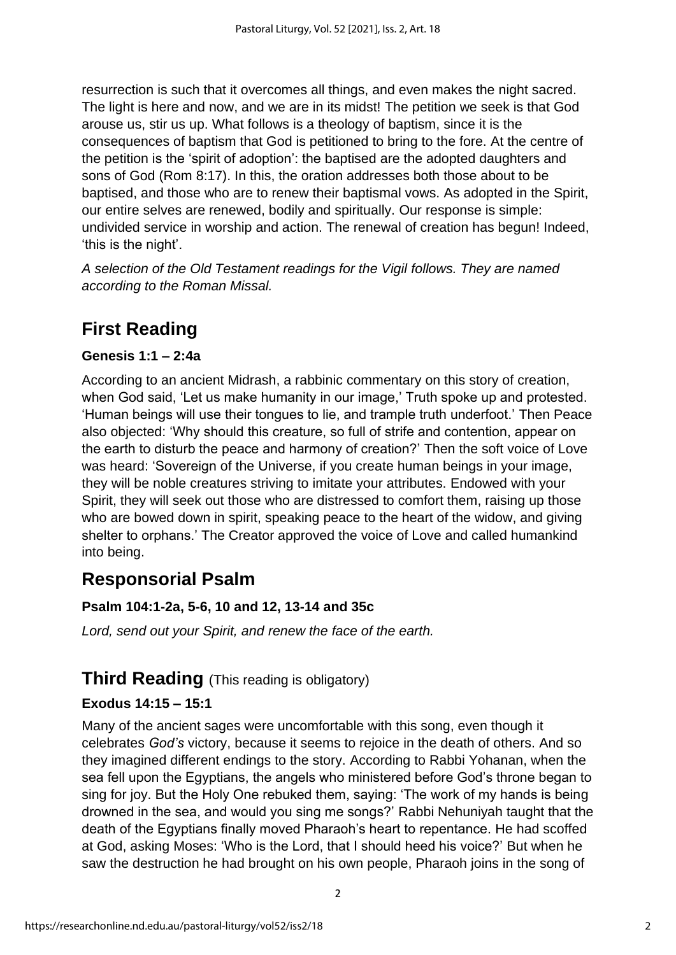resurrection is such that it overcomes all things, and even makes the night sacred. The light is here and now, and we are in its midst! The petition we seek is that God arouse us, stir us up. What follows is a theology of baptism, since it is the consequences of baptism that God is petitioned to bring to the fore. At the centre of the petition is the 'spirit of adoption': the baptised are the adopted daughters and sons of God (Rom 8:17). In this, the oration addresses both those about to be baptised, and those who are to renew their baptismal vows. As adopted in the Spirit, our entire selves are renewed, bodily and spiritually. Our response is simple: undivided service in worship and action. The renewal of creation has begun! Indeed, 'this is the night'.

*A selection of the Old Testament readings for the Vigil follows. They are named according to the Roman Missal.*

# **First Reading**

### **Genesis 1:1 – 2:4a**

According to an ancient Midrash, a rabbinic commentary on this story of creation, when God said, 'Let us make humanity in our image,' Truth spoke up and protested. 'Human beings will use their tongues to lie, and trample truth underfoot.' Then Peace also objected: 'Why should this creature, so full of strife and contention, appear on the earth to disturb the peace and harmony of creation?' Then the soft voice of Love was heard: 'Sovereign of the Universe, if you create human beings in your image, they will be noble creatures striving to imitate your attributes. Endowed with your Spirit, they will seek out those who are distressed to comfort them, raising up those who are bowed down in spirit, speaking peace to the heart of the widow, and giving shelter to orphans.' The Creator approved the voice of Love and called humankind into being.

## **Responsorial Psalm**

### **Psalm 104:1-2a, 5-6, 10 and 12, 13-14 and 35c**

*Lord, send out your Spirit, and renew the face of the earth.*

### **Third Reading** (This reading is obligatory)

### **Exodus 14:15 – 15:1**

Many of the ancient sages were uncomfortable with this song, even though it celebrates *God's* victory, because it seems to rejoice in the death of others. And so they imagined different endings to the story. According to Rabbi Yohanan, when the sea fell upon the Egyptians, the angels who ministered before God's throne began to sing for joy. But the Holy One rebuked them, saying: 'The work of my hands is being drowned in the sea, and would you sing me songs?' Rabbi Nehuniyah taught that the death of the Egyptians finally moved Pharaoh's heart to repentance. He had scoffed at God, asking Moses: 'Who is the Lord, that I should heed his voice?' But when he saw the destruction he had brought on his own people, Pharaoh joins in the song of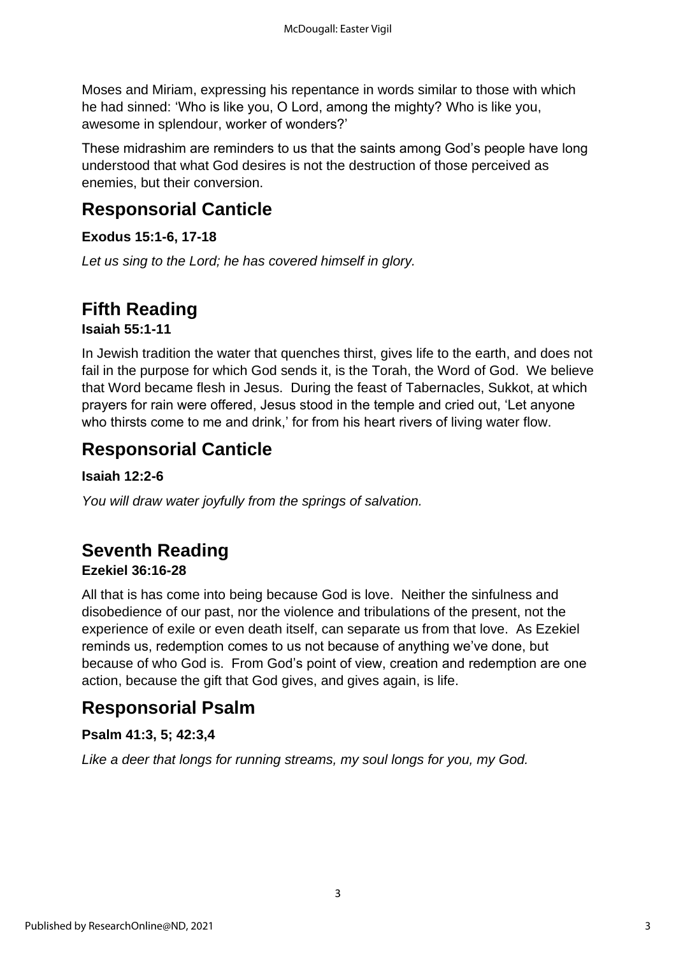Moses and Miriam, expressing his repentance in words similar to those with which he had sinned: 'Who is like you, O Lord, among the mighty? Who is like you, awesome in splendour, worker of wonders?'

These midrashim are reminders to us that the saints among God's people have long understood that what God desires is not the destruction of those perceived as enemies, but their conversion.

# **Responsorial Canticle**

### **Exodus 15:1-6, 17-18**

*Let us sing to the Lord; he has covered himself in glory.*

# **Fifth Reading**

**Isaiah 55:1-11**

In Jewish tradition the water that quenches thirst, gives life to the earth, and does not fail in the purpose for which God sends it, is the Torah, the Word of God. We believe that Word became flesh in Jesus. During the feast of Tabernacles, Sukkot, at which prayers for rain were offered, Jesus stood in the temple and cried out, 'Let anyone who thirsts come to me and drink,' for from his heart rivers of living water flow.

## **Responsorial Canticle**

**Isaiah 12:2-6**

*You will draw water joyfully from the springs of salvation.*

# **Seventh Reading**

**Ezekiel 36:16-28**

All that is has come into being because God is love. Neither the sinfulness and disobedience of our past, nor the violence and tribulations of the present, not the experience of exile or even death itself, can separate us from that love. As Ezekiel reminds us, redemption comes to us not because of anything we've done, but because of who God is. From God's point of view, creation and redemption are one action, because the gift that God gives, and gives again, is life.

# **Responsorial Psalm**

### **Psalm 41:3, 5; 42:3,4**

*Like a deer that longs for running streams, my soul longs for you, my God.*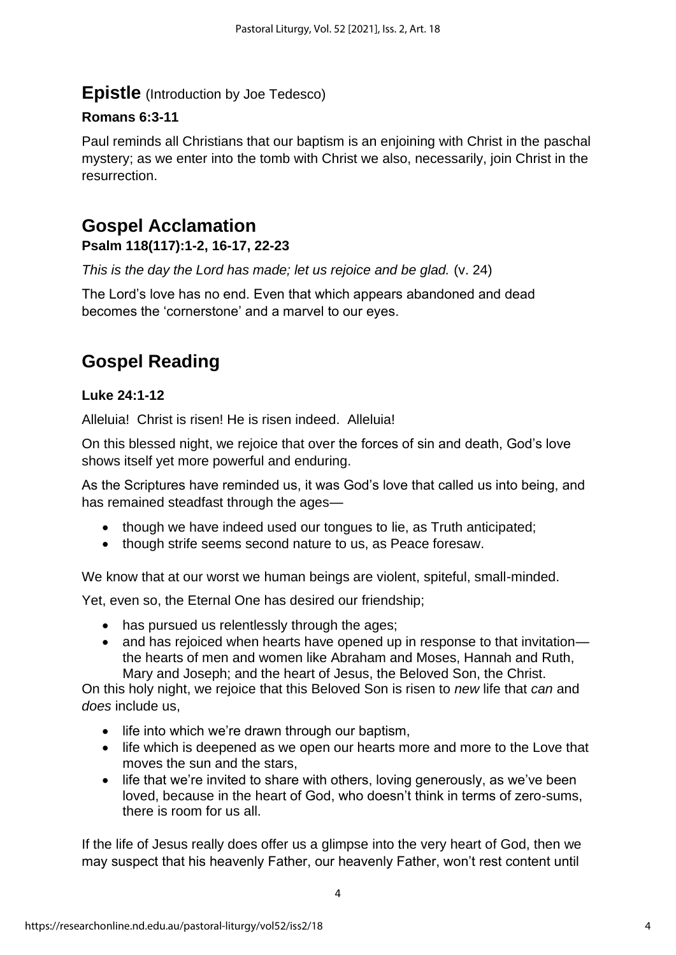### **Epistle** (Introduction by Joe Tedesco)

### **Romans 6:3-11**

Paul reminds all Christians that our baptism is an enjoining with Christ in the paschal mystery; as we enter into the tomb with Christ we also, necessarily, join Christ in the resurrection.

### **Gospel Acclamation Psalm 118(117):1-2, 16-17, 22-23**

*This is the day the Lord has made; let us rejoice and be glad.* (v. 24)

The Lord's love has no end. Even that which appears abandoned and dead becomes the 'cornerstone' and a marvel to our eyes.

# **Gospel Reading**

### **Luke 24:1-12**

Alleluia! Christ is risen! He is risen indeed. Alleluia!

On this blessed night, we rejoice that over the forces of sin and death, God's love shows itself yet more powerful and enduring.

As the Scriptures have reminded us, it was God's love that called us into being, and has remained steadfast through the ages—

- though we have indeed used our tongues to lie, as Truth anticipated;
- though strife seems second nature to us, as Peace foresaw.

We know that at our worst we human beings are violent, spiteful, small-minded.

Yet, even so, the Eternal One has desired our friendship;

- has pursued us relentlessly through the ages;
- and has rejoiced when hearts have opened up in response to that invitation the hearts of men and women like Abraham and Moses, Hannah and Ruth, Mary and Joseph; and the heart of Jesus, the Beloved Son, the Christ.

On this holy night, we rejoice that this Beloved Son is risen to *new* life that *can* and *does* include us,

- life into which we're drawn through our baptism,
- life which is deepened as we open our hearts more and more to the Love that moves the sun and the stars,
- life that we're invited to share with others, loving generously, as we've been loved, because in the heart of God, who doesn't think in terms of zero-sums, there is room for us all.

If the life of Jesus really does offer us a glimpse into the very heart of God, then we may suspect that his heavenly Father, our heavenly Father, won't rest content until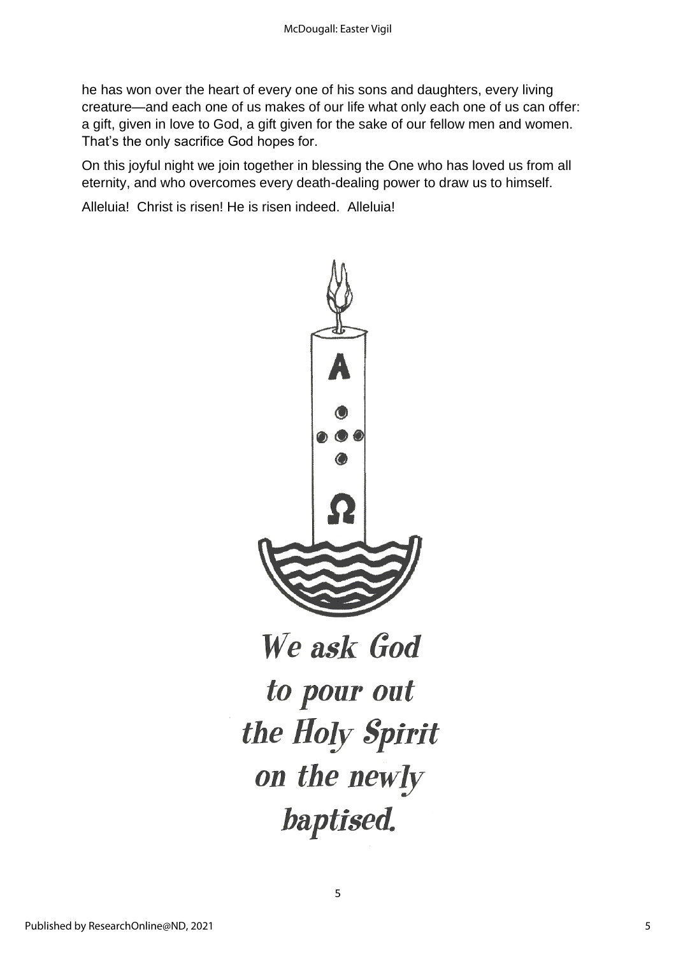he has won over the heart of every one of his sons and daughters, every living creature—and each one of us makes of our life what only each one of us can offer: a gift, given in love to God, a gift given for the sake of our fellow men and women. That's the only sacrifice God hopes for.

On this joyful night we join together in blessing the One who has loved us from all eternity, and who overcomes every death-dealing power to draw us to himself.

Alleluia! Christ is risen! He is risen indeed. Alleluia!



5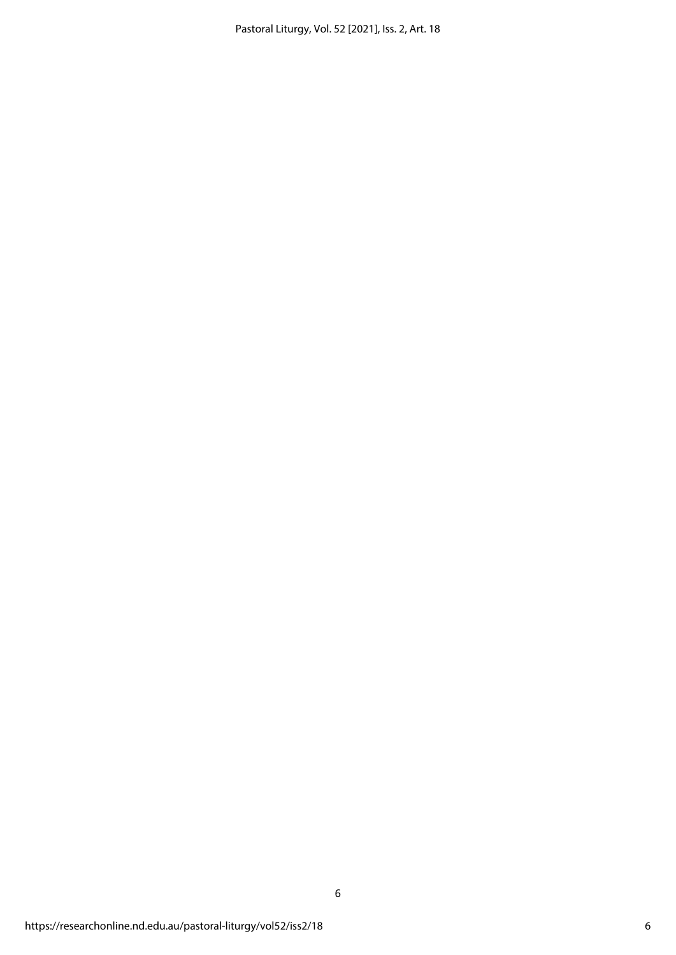Pastoral Liturgy, Vol. 52 [2021], Iss. 2, Art. 18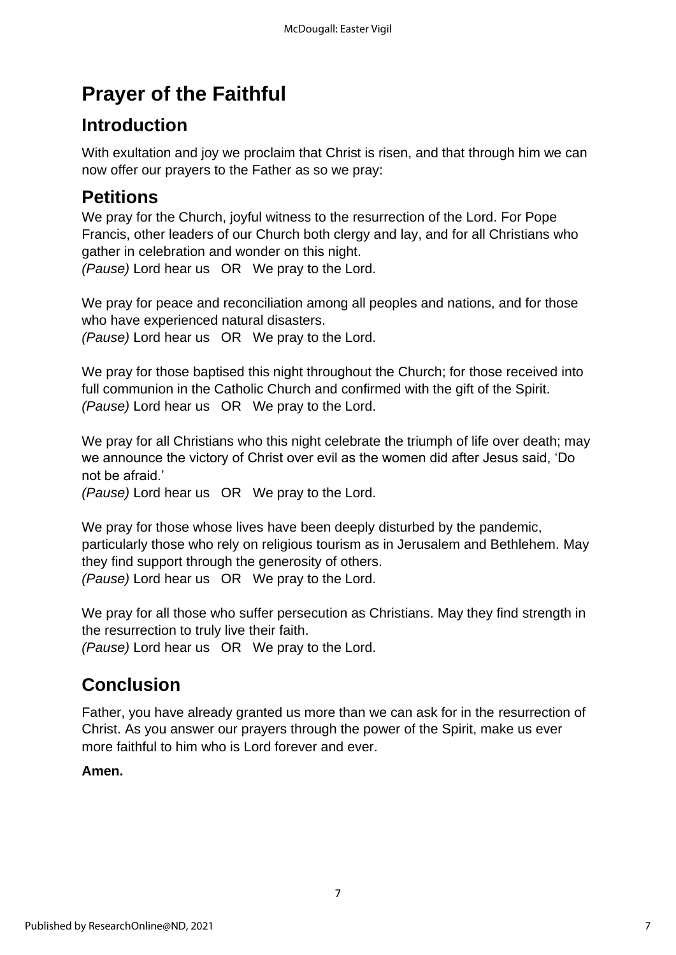# **Prayer of the Faithful**

# **Introduction**

With exultation and joy we proclaim that Christ is risen, and that through him we can now offer our prayers to the Father as so we pray:

## **Petitions**

We pray for the Church, joyful witness to the resurrection of the Lord. For Pope Francis, other leaders of our Church both clergy and lay, and for all Christians who gather in celebration and wonder on this night.

*(Pause)* Lord hear us OR We pray to the Lord.

We pray for peace and reconciliation among all peoples and nations, and for those who have experienced natural disasters.

*(Pause)* Lord hear us OR We pray to the Lord.

We pray for those baptised this night throughout the Church; for those received into full communion in the Catholic Church and confirmed with the gift of the Spirit. *(Pause)* Lord hear us OR We pray to the Lord.

We pray for all Christians who this night celebrate the triumph of life over death; may we announce the victory of Christ over evil as the women did after Jesus said, 'Do not be afraid.'

*(Pause)* Lord hear us OR We pray to the Lord.

We pray for those whose lives have been deeply disturbed by the pandemic, particularly those who rely on religious tourism as in Jerusalem and Bethlehem. May they find support through the generosity of others.

*(Pause)* Lord hear us OR We pray to the Lord.

We pray for all those who suffer persecution as Christians. May they find strength in the resurrection to truly live their faith. *(Pause)* Lord hear us OR We pray to the Lord.

# **Conclusion**

Father, you have already granted us more than we can ask for in the resurrection of Christ. As you answer our prayers through the power of the Spirit, make us ever more faithful to him who is Lord forever and ever.

### **Amen.**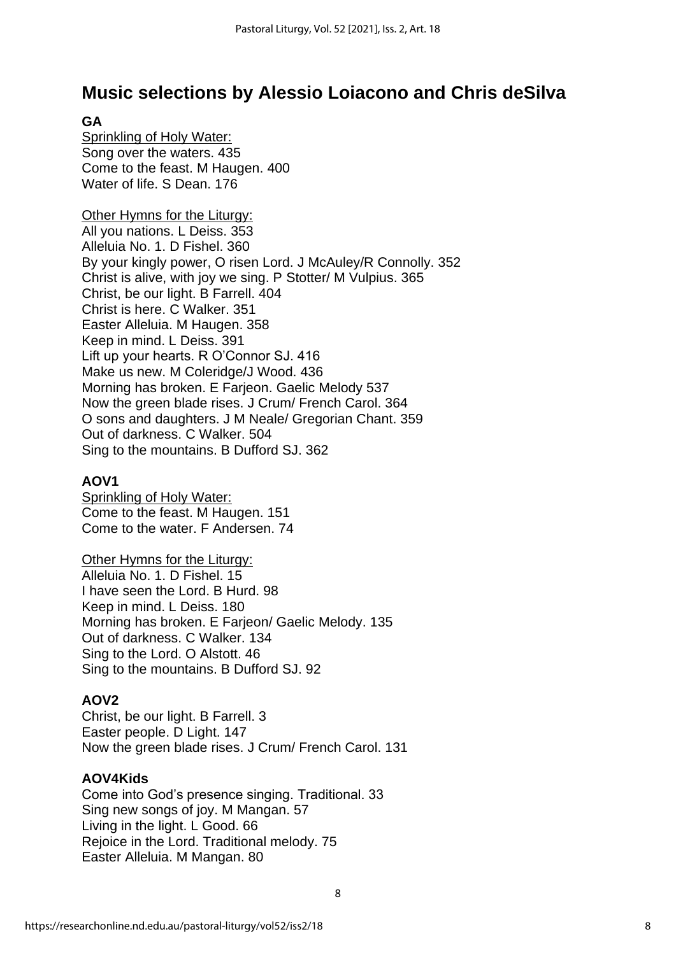## **Music selections by Alessio Loiacono and Chris deSilva**

### **GA**

Sprinkling of Holy Water: Song over the waters. 435 Come to the feast. M Haugen. 400 Water of life. S Dean. 176

Other Hymns for the Liturgy: All you nations. L Deiss. 353 Alleluia No. 1. D Fishel. 360 By your kingly power, O risen Lord. J McAuley/R Connolly. 352 Christ is alive, with joy we sing. P Stotter/ M Vulpius. 365 Christ, be our light. B Farrell. 404 Christ is here. C Walker. 351 Easter Alleluia. M Haugen. 358 Keep in mind. L Deiss. 391 Lift up your hearts. R O'Connor SJ. 416 Make us new. M Coleridge/J Wood. 436 Morning has broken. E Farjeon. Gaelic Melody 537 Now the green blade rises. J Crum/ French Carol. 364 O sons and daughters. J M Neale/ Gregorian Chant. 359 Out of darkness. C Walker. 504 Sing to the mountains. B Dufford SJ. 362

#### **AOV1**

Sprinkling of Holy Water: Come to the feast. M Haugen. 151 Come to the water. F Andersen. 74

Other Hymns for the Liturgy: Alleluia No. 1. D Fishel. 15 I have seen the Lord. B Hurd. 98 Keep in mind. L Deiss. 180 Morning has broken. E Farjeon/ Gaelic Melody. 135 Out of darkness. C Walker. 134 Sing to the Lord. O Alstott. 46 Sing to the mountains. B Dufford SJ. 92

### **AOV2**

Christ, be our light. B Farrell. 3 Easter people. D Light. 147 Now the green blade rises. J Crum/ French Carol. 131

### **AOV4Kids**

Come into God's presence singing. Traditional. 33 Sing new songs of joy. M Mangan. 57 Living in the light. L Good. 66 Rejoice in the Lord. Traditional melody. 75 Easter Alleluia. M Mangan. 80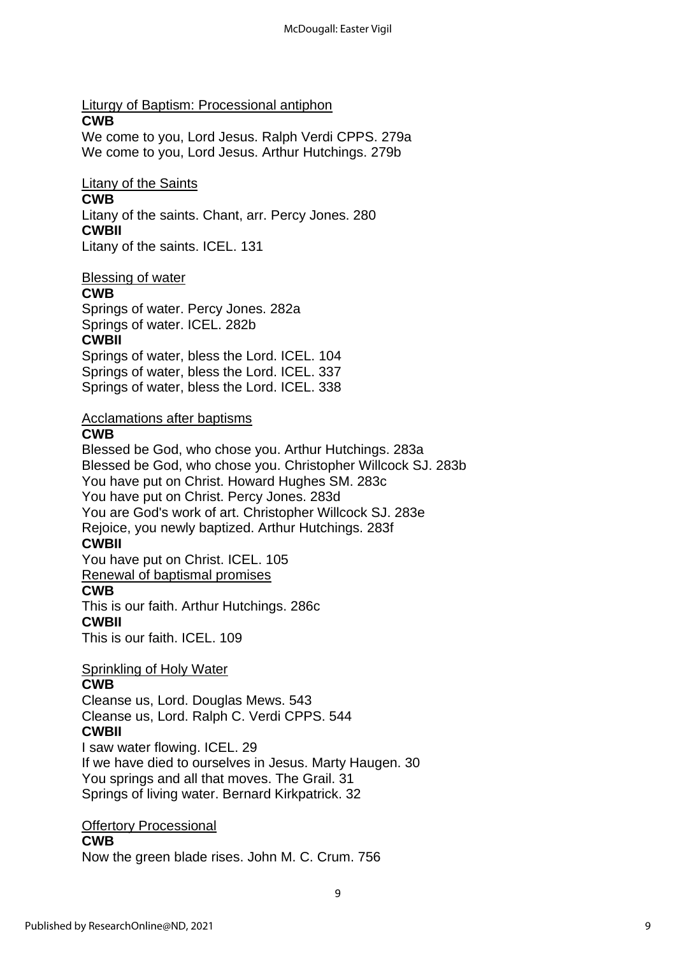Liturgy of Baptism: Processional antiphon

#### **CWB**

We come to you, Lord Jesus. Ralph Verdi CPPS. 279a We come to you, Lord Jesus. Arthur Hutchings. 279b

### Litany of the Saints

**CWB**

Litany of the saints. Chant, arr. Percy Jones. 280 **CWBII**

Litany of the saints. ICEL. 131

#### Blessing of water

**CWB**

Springs of water. Percy Jones. 282a Springs of water. ICEL. 282b

#### **CWBII**

Springs of water, bless the Lord. ICEL. 104 Springs of water, bless the Lord. ICEL. 337 Springs of water, bless the Lord. ICEL. 338

### Acclamations after baptisms

#### **CWB**

Blessed be God, who chose you. Arthur Hutchings. 283a Blessed be God, who chose you. Christopher Willcock SJ. 283b You have put on Christ. Howard Hughes SM. 283c You have put on Christ. Percy Jones. 283d You are God's work of art. Christopher Willcock SJ. 283e Rejoice, you newly baptized. Arthur Hutchings. 283f **CWBII** You have put on Christ. ICEL. 105

Renewal of baptismal promises

### **CWB**

This is our faith. Arthur Hutchings. 286c **CWBII** This is our faith. ICEL. 109

### Sprinkling of Holy Water

### **CWB**

Cleanse us, Lord. Douglas Mews. 543 Cleanse us, Lord. Ralph C. Verdi CPPS. 544 **CWBII** I saw water flowing. ICEL. 29 If we have died to ourselves in Jesus. Marty Haugen. 30 You springs and all that moves. The Grail. 31 Springs of living water. Bernard Kirkpatrick. 32

Offertory Processional **CWB** Now the green blade rises. John M. C. Crum. 756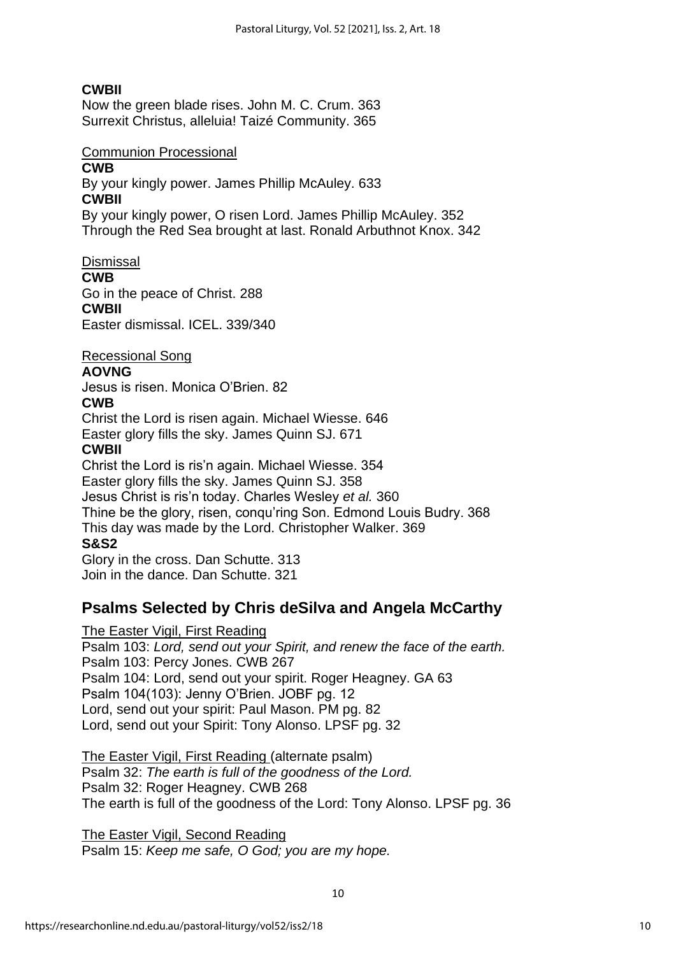### **CWBII**

Now the green blade rises. John M. C. Crum. 363 Surrexit Christus, alleluia! Taizé Community. 365

#### Communion Processional

**CWB** By your kingly power. James Phillip McAuley. 633 **CWBII** By your kingly power, O risen Lord. James Phillip McAuley. 352 Through the Red Sea brought at last. Ronald Arbuthnot Knox. 342

**Dismissal CWB** Go in the peace of Christ. 288 **CWBII** Easter dismissal. ICEL. 339/340

Recessional Song **AOVNG** Jesus is risen. Monica O'Brien. 82 **CWB** Christ the Lord is risen again. Michael Wiesse. 646 Easter glory fills the sky. James Quinn SJ. 671 **CWBII** Christ the Lord is ris'n again. Michael Wiesse. 354 Easter glory fills the sky. James Quinn SJ. 358 Jesus Christ is ris'n today. Charles Wesley *et al.* 360 Thine be the glory, risen, conqu'ring Son. Edmond Louis Budry. 368 This day was made by the Lord. Christopher Walker. 369 **S&S2** Glory in the cross. Dan Schutte. 313 Join in the dance. Dan Schutte. 321

### **Psalms Selected by Chris deSilva and Angela McCarthy**

The Easter Vigil, First Reading Psalm 103: *Lord, send out your Spirit, and renew the face of the earth.* Psalm 103: Percy Jones. CWB 267 Psalm 104: Lord, send out your spirit. Roger Heagney. GA 63 Psalm 104(103): Jenny O'Brien. JOBF pg. 12 Lord, send out your spirit: Paul Mason. PM pg. 82 Lord, send out your Spirit: Tony Alonso. LPSF pg. 32

The Easter Vigil, First Reading (alternate psalm) Psalm 32: *The earth is full of the goodness of the Lord.* Psalm 32: Roger Heagney. CWB 268 The earth is full of the goodness of the Lord: Tony Alonso. LPSF pg. 36

The Easter Vigil, Second Reading Psalm 15: *Keep me safe, O God; you are my hope.*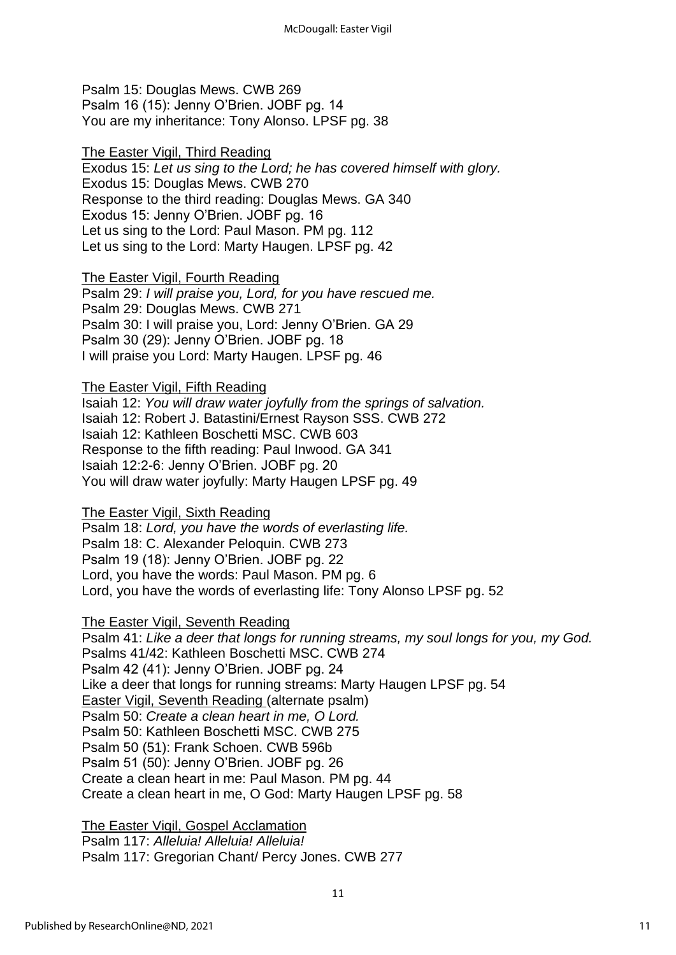Psalm 15: Douglas Mews. CWB 269 Psalm 16 (15): Jenny O'Brien. JOBF pg. 14 You are my inheritance: Tony Alonso. LPSF pg. 38

#### The Easter Vigil, Third Reading

Exodus 15: *Let us sing to the Lord; he has covered himself with glory.* Exodus 15: Douglas Mews. CWB 270 Response to the third reading: Douglas Mews. GA 340 Exodus 15: Jenny O'Brien. JOBF pg. 16 Let us sing to the Lord: Paul Mason. PM pg. 112 Let us sing to the Lord: Marty Haugen. LPSF pg. 42

#### The Easter Vigil, Fourth Reading

Psalm 29: *I will praise you, Lord, for you have rescued me.* Psalm 29: Douglas Mews. CWB 271 Psalm 30: I will praise you, Lord: Jenny O'Brien. GA 29 Psalm 30 (29): Jenny O'Brien. JOBF pg. 18 I will praise you Lord: Marty Haugen. LPSF pg. 46

#### The Easter Vigil, Fifth Reading

Isaiah 12: *You will draw water joyfully from the springs of salvation.* Isaiah 12: Robert J. Batastini/Ernest Rayson SSS. CWB 272 Isaiah 12: Kathleen Boschetti MSC. CWB 603 Response to the fifth reading: Paul Inwood. GA 341 Isaiah 12:2-6: Jenny O'Brien. JOBF pg. 20 You will draw water joyfully: Marty Haugen LPSF pg. 49

#### The Easter Vigil, Sixth Reading

Psalm 18: *Lord, you have the words of everlasting life.* Psalm 18: C. Alexander Peloquin. CWB 273 Psalm 19 (18): Jenny O'Brien. JOBF pg. 22 Lord, you have the words: Paul Mason. PM pg. 6 Lord, you have the words of everlasting life: Tony Alonso LPSF pg. 52

The Easter Vigil, Seventh Reading

Psalm 41: *Like a deer that longs for running streams, my soul longs for you, my God.* Psalms 41/42: Kathleen Boschetti MSC. CWB 274 Psalm 42 (41): Jenny O'Brien. JOBF pg. 24 Like a deer that longs for running streams: Marty Haugen LPSF pg. 54 Easter Vigil, Seventh Reading (alternate psalm) Psalm 50: *Create a clean heart in me, O Lord.* Psalm 50: Kathleen Boschetti MSC. CWB 275 Psalm 50 (51): Frank Schoen. CWB 596b Psalm 51 (50): Jenny O'Brien. JOBF pg. 26 Create a clean heart in me: Paul Mason. PM pg. 44 Create a clean heart in me, O God: Marty Haugen LPSF pg. 58

The Easter Vigil, Gospel Acclamation Psalm 117: *Alleluia! Alleluia! Alleluia!* Psalm 117: Gregorian Chant/ Percy Jones. CWB 277